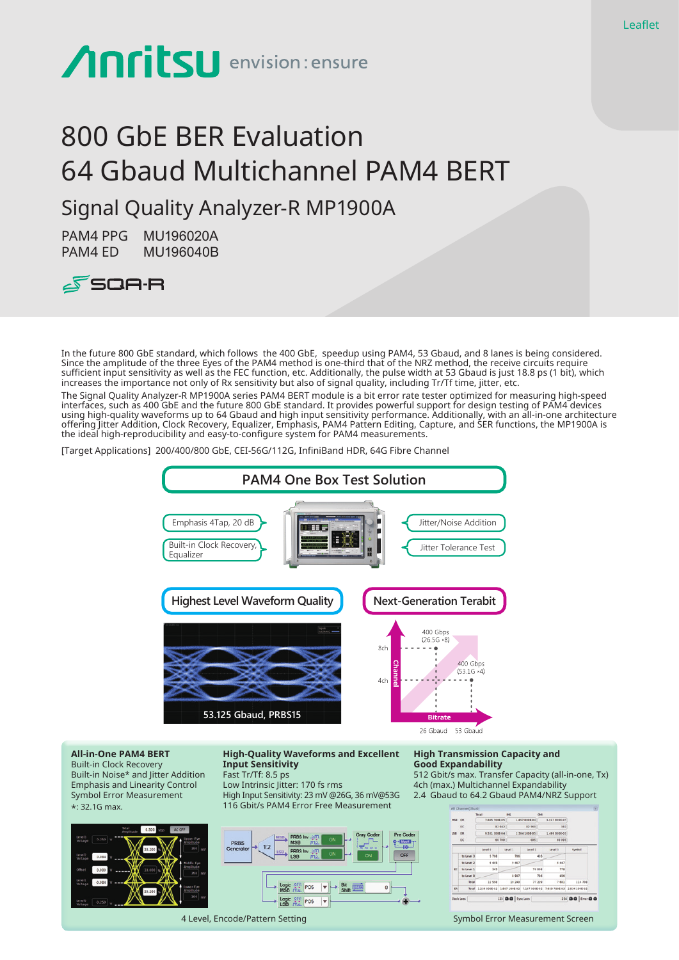# **Anritsu** envision: ensure

# 800 GbE BER Evaluation 64 Gbaud Multichannel PAM4 BERT

# Signal Quality Analyzer-R MP1900A

PAM4 PPG MU196020A PAM4 ED MU196040B



In the future 800 GbE standard, which follows the 400 GbE, speedup using PAM4, 53 Gbaud, and 8 lanes is being considered. Since the amplitude of the three Eyes of the PAM4 method is one-third that of the NRZ method, the receive circuits require sufficient input sensitivity as well as the FEC function, etc. Additionally, the pulse width at 53 Gbaud is just 18.8 ps (1 bit), which increases the importance not only of Rx sensitivity but also of signal quality, including Tr/Tf time, jitter, etc.

The Signal Quality Analyzer-R MP1900A series PAM4 BERT module is a bit error rate tester optimized for measuring high-speed interfaces, such as 400 GbE and the future 800 GbE standard. It provides powerful support for design testing of PAM4 devices using high-quality waveforms up to 64 Gbaud and high input sensitivity performance. Additionally, with an all-in-one architecture offering Jitter Addition, Clock Recovery, Equalizer, Emphasis, PAM4 Pattern Editing, Capture, and SER functions, the MP1900A is the ideal high-reproducibility and easy-to-configure system for PAM4 measurements.

[Target Applications] 200/400/800 GbE, CEI-56G/112G, InfiniBand HDR, 64G Fibre Channel



**All-in-One PAM4 BERT** Built-in Clock Recovery Built-in Noise\* and Jitter Addition Emphasis and Linearity Control Symbol Error Measurement \*: 32.1G max.



**High-Quality Waveforms and Excellent Input Sensitivity** Fast Tr/Tf: 8.5 ps

Low Intrinsic Jitter: 170 fs rms High Input Sensitivity: 23 mV @26G, 36 mV@53G 116 Gbit/s PAM4 Error Free Measurement



#### **High Transmission Capacity and Good Expandability**

512 Gbit/s max. Transfer Capacity (all-in-one, Tx) 4ch (max.) Multichannel Expandability 2.4 Gbaud to 64.2 Gbaud PAM4/NRZ Support



4 Level, Encode/Pattern Setting Symbol Error Measurement Screen Symbol Error Measurement Screen